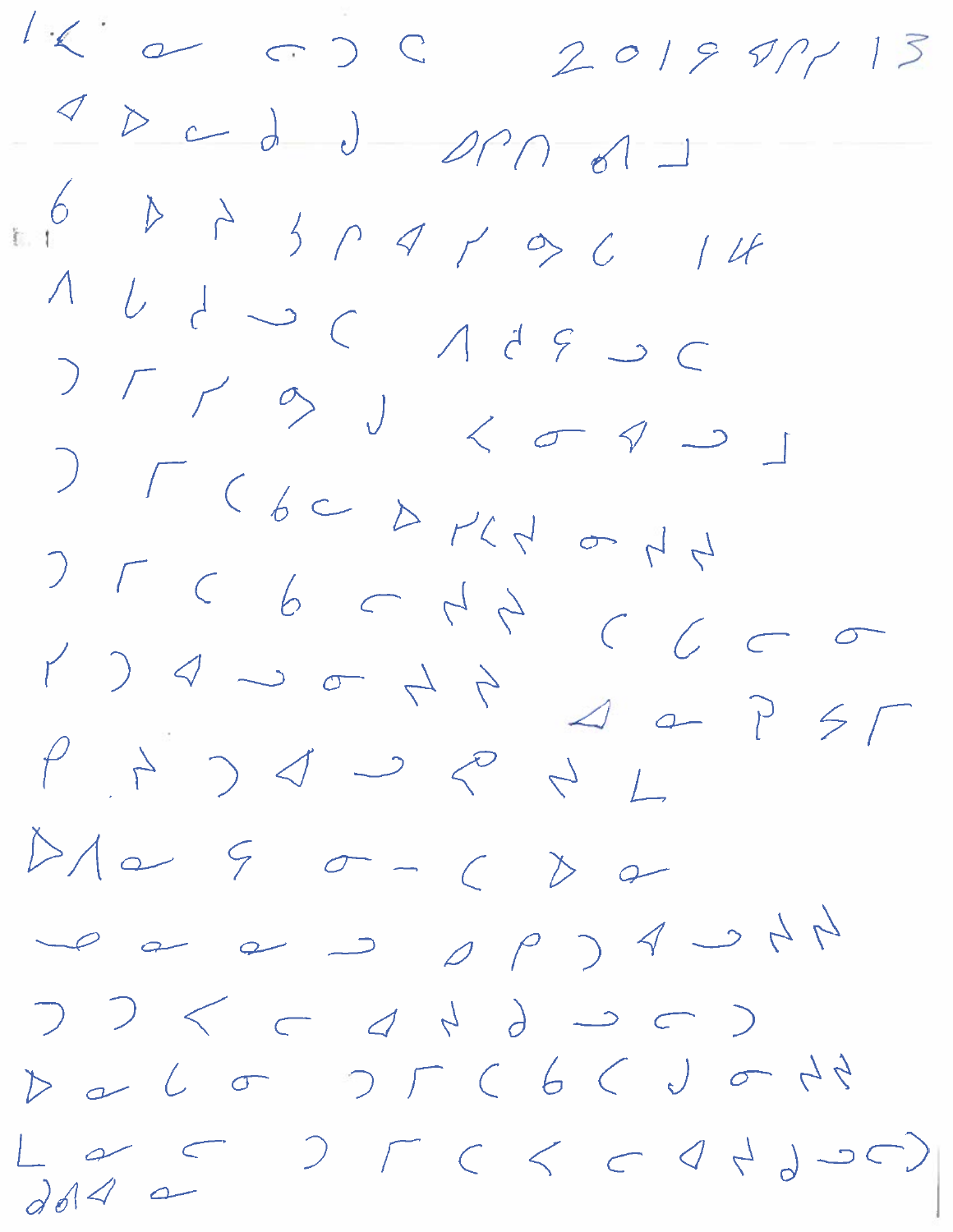$1<1$  $201997/13$  $\begin{array}{c}\n0\n\end{array}$  $J$  or  $n-1$  $11$  $T$   $\rightarrow$   $J$   $\leftarrow$   $\sim$   $\sim$  $\begin{array}{ll} 0 & \mbox{if} & \mbox{if} & \mbox{if} & \mbox{if} & \mbox{if} & \mbox{if} & \mbox{if} & \mbox{if} & \mbox{if} & \mbox{if} & \mbox{if} & \mbox{if} & \mbox{if} & \mbox{if} & \mbox{if} & \mbox{if} & \mbox{if} & \mbox{if} & \mbox{if} & \mbox{if} & \mbox{if} & \mbox{if} & \mbox{if} & \mbox{if} & \mbox{if} & \mbox{if} & \mbox{if} & \mbox{if} & \mbox{if} & \mbox{if} &$  $\sigma$  $\sum_{i=1}^{n}$  $5<sub>1</sub>$  $90-6$  $D/\sim$  $\sum$  $\curvearrowleft$  $\rightarrow$  $\leq$  $\bigcup$  $\subset$  $D \sim L \sigma$  $0 < \rho < \rho < \rho < 0.0000$  $d$  or  $4a$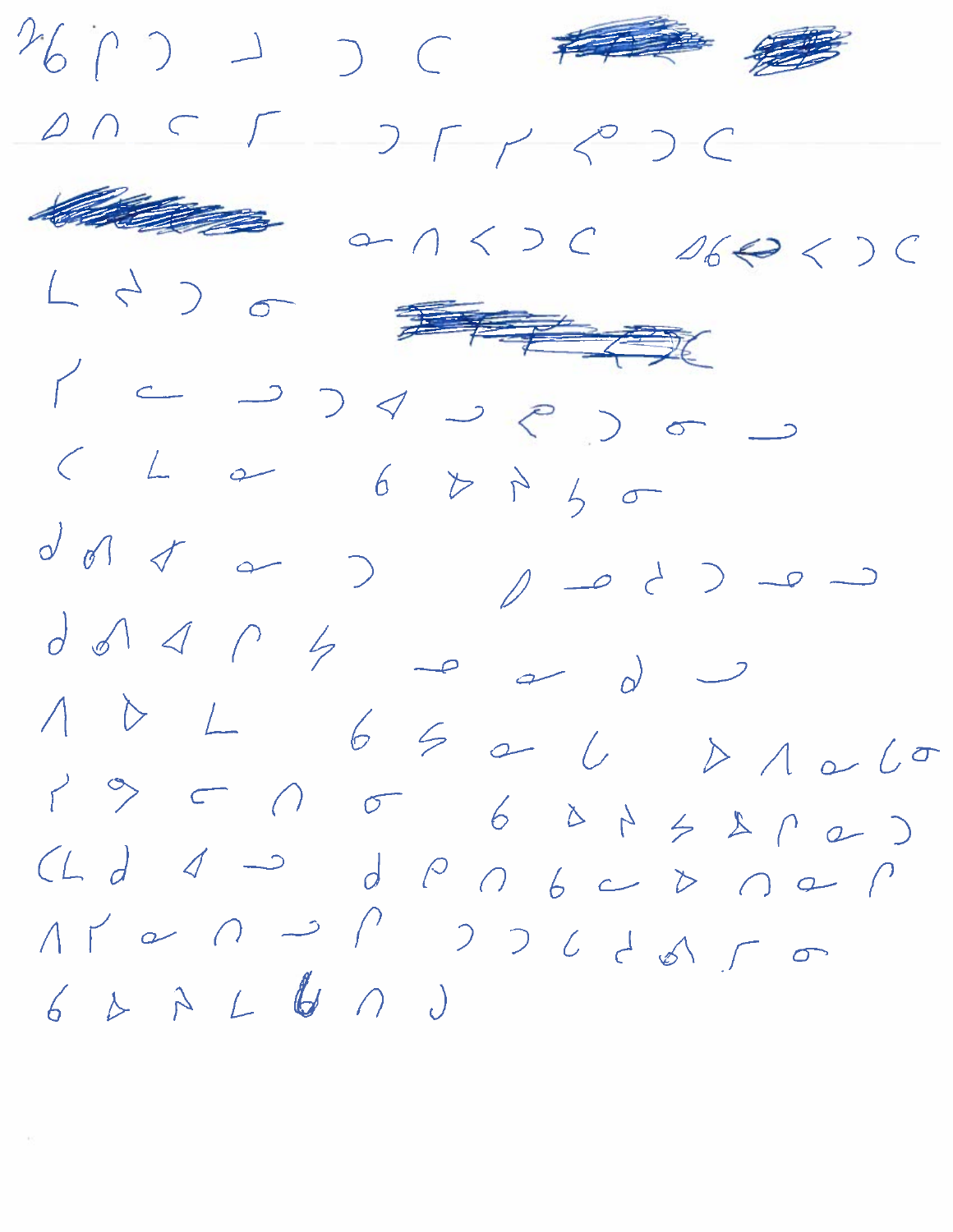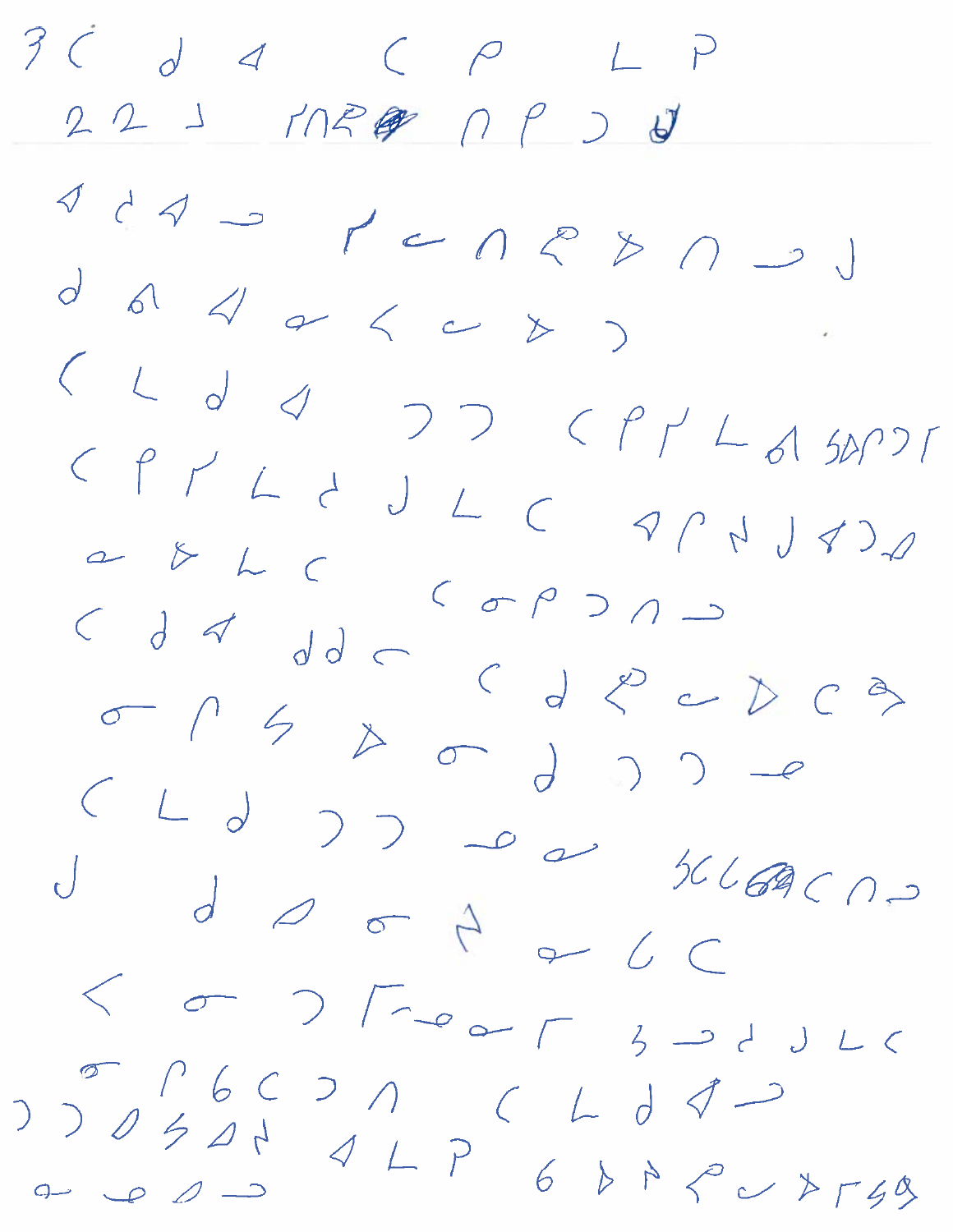$3<$  $d$  d  $f$   $p$   $L$   $p$  $223 17129 0930$  $d$  ad  $d$  ad  $d$  $\mathcal{L}^{\mathcal{L}}$  $C \begin{array}{ccc} d \prec & d \prec & c \end{array}$  $J_{d} \geqslant 1200$  $<$  or  $>$   $\Gamma \rightarrow \sim \sim \Gamma$  $3 - d$   $J$   $L$   $C$  $\int_{a}^{b} \int_{a}^{b} f(x) dx dx$  $0 < 0 < 0 < 0$  $427$  $6$   $6$   $6$   $6$   $7$   $6$   $7$   $7$   $7$   $7$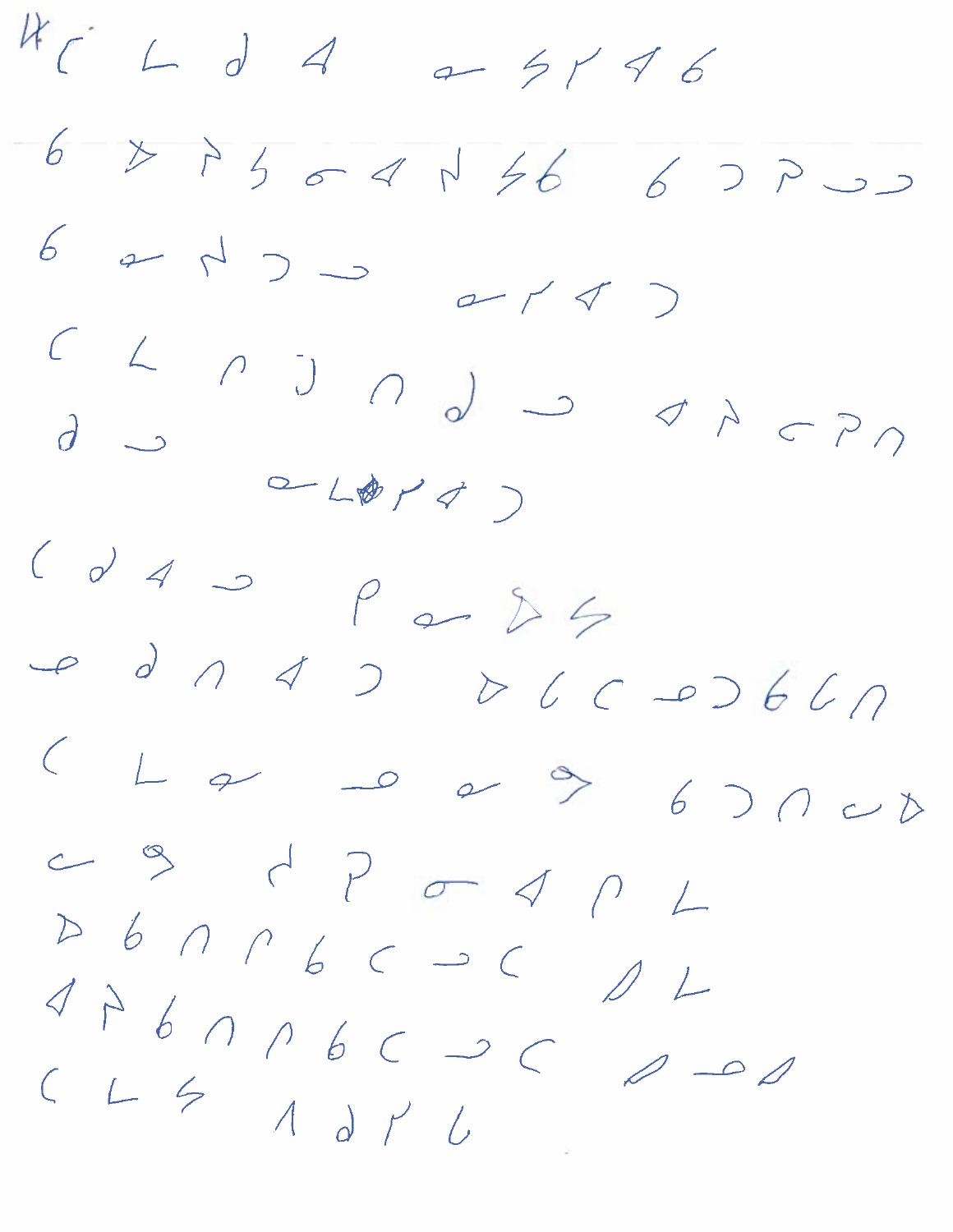$46$  $4 d 4 a 51 46$ 6  $377777777667700$  $67$  $422$  $274)$  $\angle$  $\partial$   $\rightarrow$  $\begin{array}{ccccc}\n&\circ&\downarrow\text{w} &\downarrow\end{array}$  $\big)$  $\begin{pmatrix} 1 & 1 \\ 0 & 1 \end{pmatrix}$  $\overline{\phantom{a}}$  $\rho$  or  $\delta$  4  $\mathcal{O}$  $\rightarrow$  $\sim$  $\perp$  $\curvearrowleft$  $\rightarrow$  $67000$  $P \subset Q$  $\infty$  $\angle$  $D \nvert b \nvert \cap \cap \cap \cap \cap \cap \cap \subset \cap$  $11$  $476006000$  $\mathscr{Q}$  $\sim$  $CL$  $A$  d  $\gamma$   $C$